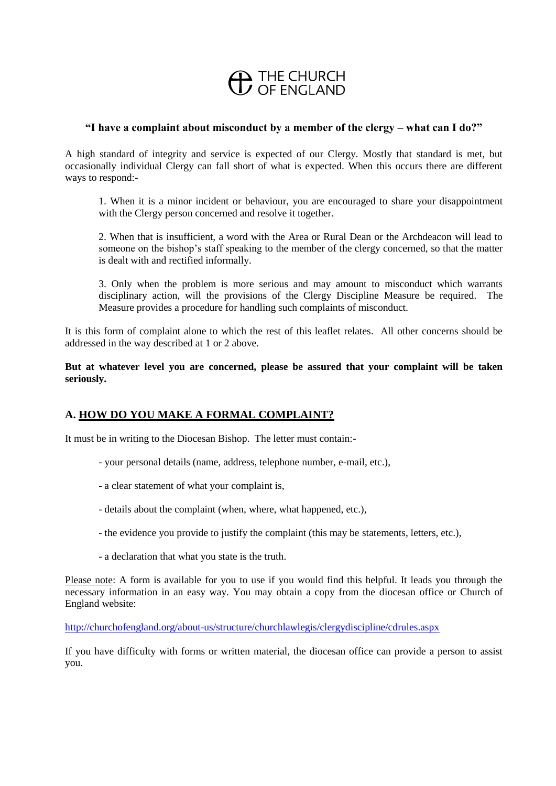# **CD** THE CHURCH

#### **"I have a complaint about misconduct by a member of the clergy – what can I do?"**

A high standard of integrity and service is expected of our Clergy. Mostly that standard is met, but occasionally individual Clergy can fall short of what is expected. When this occurs there are different ways to respond:-

1. When it is a minor incident or behaviour, you are encouraged to share your disappointment with the Clergy person concerned and resolve it together.

2. When that is insufficient, a word with the Area or Rural Dean or the Archdeacon will lead to someone on the bishop's staff speaking to the member of the clergy concerned, so that the matter is dealt with and rectified informally.

3. Only when the problem is more serious and may amount to misconduct which warrants disciplinary action, will the provisions of the Clergy Discipline Measure be required. The Measure provides a procedure for handling such complaints of misconduct.

It is this form of complaint alone to which the rest of this leaflet relates. All other concerns should be addressed in the way described at 1 or 2 above.

**But at whatever level you are concerned, please be assured that your complaint will be taken seriously.**

# **A. HOW DO YOU MAKE A FORMAL COMPLAINT?**

It must be in writing to the Diocesan Bishop. The letter must contain:-

- your personal details (name, address, telephone number, e-mail, etc.),
- a clear statement of what your complaint is,
- details about the complaint (when, where, what happened, etc.),
- the evidence you provide to justify the complaint (this may be statements, letters, etc.),
- a declaration that what you state is the truth.

Please note: A form is available for you to use if you would find this helpful. It leads you through the necessary information in an easy way. You may obtain a copy from the diocesan office or Church of England website:

<http://churchofengland.org/about-us/structure/churchlawlegis/clergydiscipline/cdrules.aspx>

If you have difficulty with forms or written material, the diocesan office can provide a person to assist you.